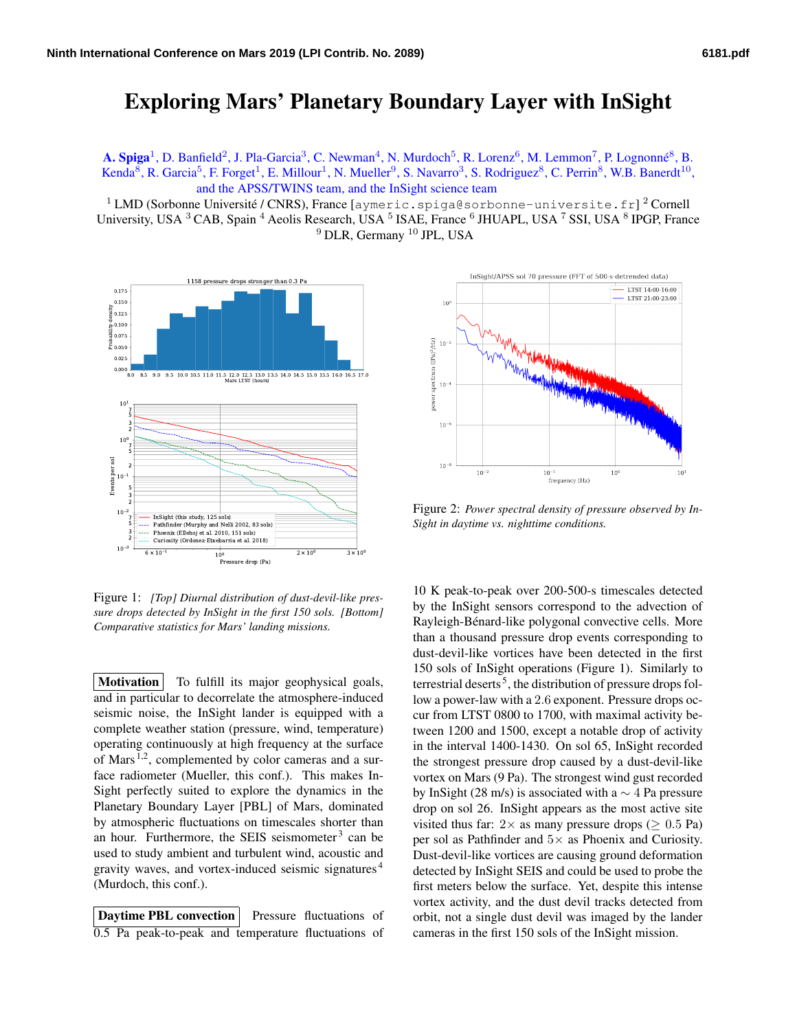## Exploring Mars' Planetary Boundary Layer with InSight

A. Spiga<sup>1</sup>, D. Banfield<sup>2</sup>, J. Pla-Garcia<sup>3</sup>, C. Newman<sup>4</sup>, N. Murdoch<sup>5</sup>, R. Lorenz<sup>6</sup>, M. Lemmon<sup>7</sup>, P. Lognonné<sup>8</sup>, B. Kenda<sup>8</sup>, R. Garcia<sup>5</sup>, F. Forget<sup>1</sup>, E. Millour<sup>1</sup>, N. Mueller<sup>9</sup>, S. Navarro<sup>3</sup>, S. Rodriguez<sup>8</sup>, C. Perrin<sup>8</sup>, W.B. Banerdt<sup>10</sup>, and the APSS/TWINS team, and the InSight science team

 $^1$  LMD (Sorbonne Université / CNRS), France [aymeric.spiga@sorbonne-universite.fr]  $^2$  Cornell University, USA <sup>3</sup> CAB, Spain <sup>4</sup> Aeolis Research, USA <sup>5</sup> ISAE, France <sup>6</sup> JHUAPL, USA <sup>7</sup> SSI, USA <sup>8</sup> IPGP, France <sup>9</sup> DLR, Germany<sup>10</sup> JPL, USA



Figure 1: *[Top] Diurnal distribution of dust-devil-like pressure drops detected by InSight in the first 150 sols. [Bottom] Comparative statistics for Mars' landing missions.*

Motivation To fulfill its major geophysical goals, and in particular to decorrelate the atmosphere-induced seismic noise, the InSight lander is equipped with a complete weather station (pressure, wind, temperature) operating continuously at high frequency at the surface of Mars  $^{1,2}$ , complemented by color cameras and a surface radiometer (Mueller, this conf.). This makes In-Sight perfectly suited to explore the dynamics in the Planetary Boundary Layer [PBL] of Mars, dominated by atmospheric fluctuations on timescales shorter than an hour. Furthermore, the SEIS seismometer<sup>3</sup> can be used to study ambient and turbulent wind, acoustic and gravity waves, and vortex-induced seismic signatures <sup>4</sup> (Murdoch, this conf.).

Daytime PBL convection Pressure fluctuations of 0.5 Pa peak-to-peak and temperature fluctuations of



Figure 2: *Power spectral density of pressure observed by In-Sight in daytime vs. nighttime conditions.*

10 K peak-to-peak over 200-500-s timescales detected by the InSight sensors correspond to the advection of Rayleigh-Bénard-like polygonal convective cells. More than a thousand pressure drop events corresponding to dust-devil-like vortices have been detected in the first 150 sols of InSight operations (Figure 1). Similarly to terrestrial deserts<sup>5</sup>, the distribution of pressure drops follow a power-law with a 2.6 exponent. Pressure drops occur from LTST 0800 to 1700, with maximal activity between 1200 and 1500, except a notable drop of activity in the interval 1400-1430. On sol 65, InSight recorded the strongest pressure drop caused by a dust-devil-like vortex on Mars (9 Pa). The strongest wind gust recorded by InSight (28 m/s) is associated with a  $\sim$  4 Pa pressure drop on sol 26. InSight appears as the most active site visited thus far:  $2 \times$  as many pressure drops ( $\geq 0.5$  Pa) per sol as Pathfinder and 5× as Phoenix and Curiosity. Dust-devil-like vortices are causing ground deformation detected by InSight SEIS and could be used to probe the first meters below the surface. Yet, despite this intense vortex activity, and the dust devil tracks detected from orbit, not a single dust devil was imaged by the lander cameras in the first 150 sols of the InSight mission.